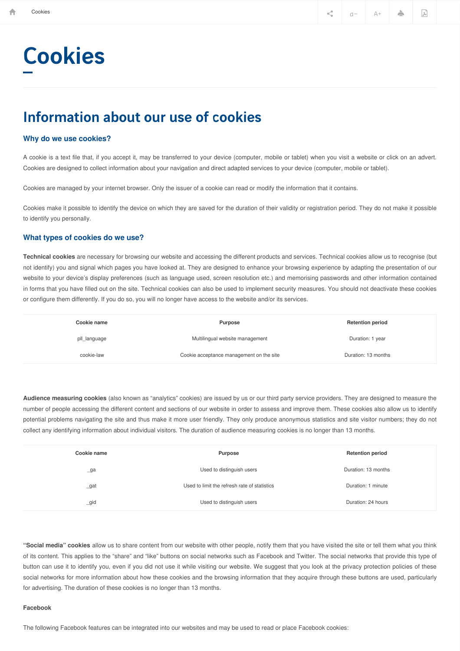# **Cookies**

## Information about our use of cookies

### **Why do we use cookies?**

A cookie is a text file that, if you accept it, may be transferred to your device (computer, mobile or tablet) when you visit a website or click on an advert. Cookies are designed to collect information about your navigation and direct adapted services to your device (computer, mobile or tablet).

Cookies are managed by your internet browser. Only the issuer of a cookie can read or modify the information that it contains.

Cookies make it possible to identify the device on which they are saved for the duration of their validity or registration period. They do not make it possible to identify you personally.

### **What types of cookies do we use?**

**Technical cookies** are necessary for browsing our website and accessing the different products and services. Technical cookies allow us to recognise (but not identify) you and signal which pages you have looked at. They are designed to enhance your browsing experience by adapting the presentation of our website to your device's display preferences (such as language used, screen resolution etc.) and memorising passwords and other information contained in forms that you have filled out on the site. Technical cookies can also be used to implement security measures. You should not deactivate these cookies or configure them differently. If you do so, you will no longer have access to the website and/or its services.

| Cookie name  | Purpose                                  | <b>Retention period</b> |
|--------------|------------------------------------------|-------------------------|
| pll_language | Multilingual website management          | Duration: 1 year        |
| cookie-law   | Cookie acceptance management on the site | Duration: 13 months     |

**Audience measuring cookies** (also known as "analytics" cookies) are issued by us or our third party service providers. They are designed to measure the number of people accessing the different content and sections of our website in order to assess and improve them. These cookies also allow us to identify potential problems navigating the site and thus make it more user friendly. They only produce anonymous statistics and site visitor numbers; they do not collect any identifying information about individual visitors. The duration of audience measuring cookies is no longer than 13 months.

| Cookie name    | Purpose                                      | <b>Retention period</b> |
|----------------|----------------------------------------------|-------------------------|
| $\lrcorner$ ga | Used to distinguish users                    | Duration: 13 months     |
| $\_$ gat       | Used to limit the refresh rate of statistics | Duration: 1 minute      |
| $\_gid$        | Used to distinguish users                    | Duration: 24 hours      |

**"Social media" cookies** allow us to share content from our website with other people, notify them that you have visited the site or tell them what you think of its content. This applies to the "share" and "like" buttons on social networks such as Facebook and Twitter. The social networks that provide this type of button can use it to identify you, even if you did not use it while visiting our website. We suggest that you look at the privacy protection policies of these social networks for more information about how these cookies and the browsing information that they acquire through these buttons are used, particularly for advertising. The duration of these cookies is no longer than 13 months.

#### **Facebook**

The following Facebook features can be integrated into our websites and may be used to read or place Facebook cookies: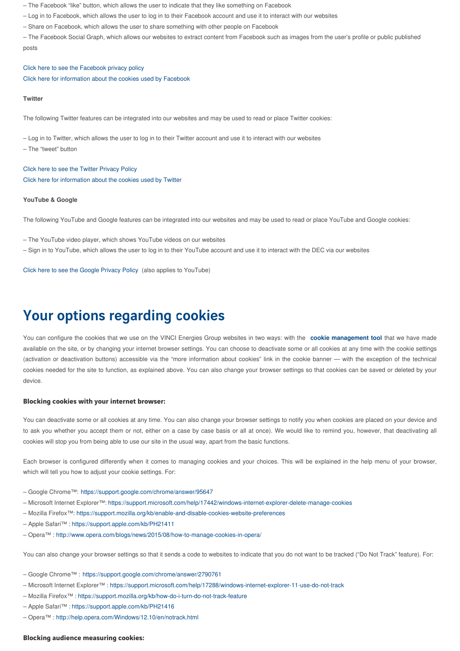– The Facebook "like" button, which allows the user to indicate that they like something on Facebook

– Log in to Facebook, which allows the user to log in to their Facebook account and use it to interact with our websites

– Share on Facebook, which allows the user to share something with other people on Facebook

– The Facebook Social Graph, which allows our websites to extract content from Facebook such as images from the user's profile or public published posts

Click here to see the [Facebook](https://www.facebook.com/about/privacy/) privacy policy Click here for [information](https://www.facebook.com/help/cookies) about the cookies used by Facebook

#### **Twitter**

The following Twitter features can be integrated into our websites and may be used to read or place Twitter cookies:

– Log in to Twitter, which allows the user to log in to their Twitter account and use it to interact with our websites

– The "tweet" button

Click here to see the Twitter [Privacy](https://twitter.com/privacy) Policy Click here for [information](https://help.twitter.com/fr/rules-and-policies/twitter-cookies) about the cookies used by Twitter

### **YouTube & Google**

The following YouTube and Google features can be integrated into our websites and may be used to read or place YouTube and Google cookies:

– The YouTube video player, which shows YouTube videos on our websites

– Sign in to YouTube, which allows the user to log in to their YouTube account and use it to interact with the DEC via our websites

Click here to see the Google [Privacy](http://www.google.com/intl/fr/policies/privacy/) Policy (also applies to YouTube)

### Your options regarding cookies

You can configure the cookies that we use on the VINCI Energies Group websites in two ways: with the **cookie management tool** that we have made available on the site, or by changing your internet browser settings. You can choose to deactivate some or all cookies at any time with the cookie settings (activation or deactivation buttons) accessible via the "more information about cookies" link in the cookie banner — with the exception of the technical cookies needed for the site to function, as explained above. You can also change your browser settings so that cookies can be saved or deleted by your device.

### Blocking cookies with your internet browser:

You can deactivate some or all cookies at any time. You can also change your browser settings to notify you when cookies are placed on your device and to ask you whether you accept them or not, either on a case by case basis or all at once). We would like to remind you, however, that deactivating all cookies will stop you from being able to use our site in the usual way, apart from the basic functions.

Each browser is configured differently when it comes to managing cookies and your choices. This will be explained in the help menu of your browser, which will tell you how to adjust your cookie settings. For:

- Google Chrome™: <https://support.google.com/chrome/answer/95647>
- Microsoft Internet Explorer™: <https://support.microsoft.com/help/17442/windows-internet-explorer-delete-manage-cookies>
- Mozilla Firefox™: <https://support.mozilla.org/kb/enable-and-disable-cookies-website-preferences>
- Apple Safari™ :<https://support.apple.com/kb/PH21411>
- Opera™ : <http://www.opera.com/blogs/news/2015/08/how-to-manage-cookies-in-opera/>

You can also change your browser settings so that it sends a code to websites to indicate that you do not want to be tracked ("Do Not Track" feature). For:

- Google Chrome™ : <https://support.google.com/chrome/answer/2790761>
- Microsoft Internet Explorer™ :<https://support.microsoft.com/help/17288/windows-internet-explorer-11-use-do-not-track>
- Mozilla Firefox™ :<https://support.mozilla.org/kb/how-do-i-turn-do-not-track-feature>
- Apple Safari™ :<https://support.apple.com/kb/PH21416>
- Opera™ : <http://help.opera.com/Windows/12.10/en/notrack.html>

### Blocking audience measuring cookies: